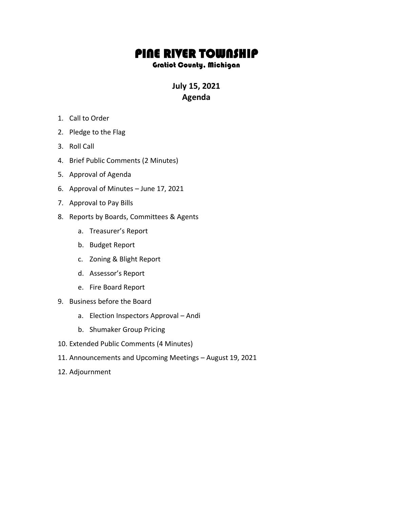## PINE RIVER TOWNSHIP

## Gratiot County, Michigan

**July 15, 2021 Agenda**

- 1. Call to Order
- 2. Pledge to the Flag
- 3. Roll Call
- 4. Brief Public Comments (2 Minutes)
- 5. Approval of Agenda
- 6. Approval of Minutes June 17, 2021
- 7. Approval to Pay Bills
- 8. Reports by Boards, Committees & Agents
	- a. Treasurer's Report
	- b. Budget Report
	- c. Zoning & Blight Report
	- d. Assessor's Report
	- e. Fire Board Report
- 9. Business before the Board
	- a. Election Inspectors Approval Andi
	- b. Shumaker Group Pricing
- 10. Extended Public Comments (4 Minutes)
- 11. Announcements and Upcoming Meetings August 19, 2021
- 12. Adjournment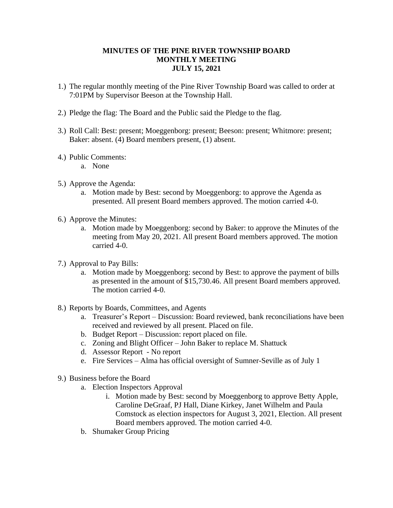## **MINUTES OF THE PINE RIVER TOWNSHIP BOARD MONTHLY MEETING JULY 15, 2021**

- 1.) The regular monthly meeting of the Pine River Township Board was called to order at 7:01PM by Supervisor Beeson at the Township Hall.
- 2.) Pledge the flag: The Board and the Public said the Pledge to the flag.
- 3.) Roll Call: Best: present; Moeggenborg: present; Beeson: present; Whitmore: present; Baker: absent. (4) Board members present, (1) absent.
- 4.) Public Comments:
	- a. None
- 5.) Approve the Agenda:
	- a. Motion made by Best: second by Moeggenborg: to approve the Agenda as presented. All present Board members approved. The motion carried 4-0.
- 6.) Approve the Minutes:
	- a. Motion made by Moeggenborg: second by Baker: to approve the Minutes of the meeting from May 20, 2021. All present Board members approved. The motion carried 4-0.
- 7.) Approval to Pay Bills:
	- a. Motion made by Moeggenborg: second by Best: to approve the payment of bills as presented in the amount of \$15,730.46. All present Board members approved. The motion carried 4-0.
- 8.) Reports by Boards, Committees, and Agents
	- a. Treasurer's Report Discussion: Board reviewed, bank reconciliations have been received and reviewed by all present. Placed on file.
	- b. Budget Report Discussion: report placed on file.
	- c. Zoning and Blight Officer John Baker to replace M. Shattuck
	- d. Assessor Report No report
	- e. Fire Services Alma has official oversight of Sumner-Seville as of July 1
- 9.) Business before the Board
	- a. Election Inspectors Approval
		- i. Motion made by Best: second by Moeggenborg to approve Betty Apple, Caroline DeGraaf, PJ Hall, Diane Kirkey, Janet Wilhelm and Paula Comstock as election inspectors for August 3, 2021, Election. All present Board members approved. The motion carried 4-0.
	- b. Shumaker Group Pricing